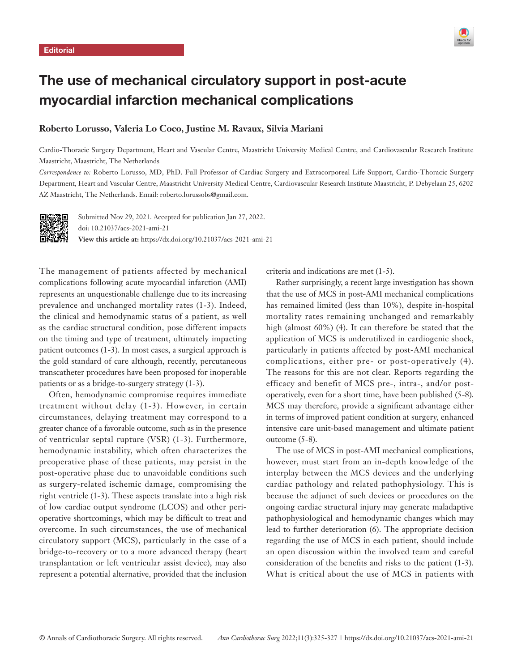

# The use of mechanical circulatory support in post-acute myocardial infarction mechanical complications

## **Roberto Lorusso, Valeria Lo Coco, Justine M. Ravaux, Silvia Mariani**

Cardio-Thoracic Surgery Department, Heart and Vascular Centre, Maastricht University Medical Centre, and Cardiovascular Research Institute Maastricht, Maastricht, The Netherlands

*Correspondence to:* Roberto Lorusso, MD, PhD. Full Professor of Cardiac Surgery and Extracorporeal Life Support, Cardio-Thoracic Surgery Department, Heart and Vascular Centre, Maastricht University Medical Centre, Cardiovascular Research Institute Maastricht, P. Debyelaan 25, 6202 AZ Maastricht, The Netherlands. Email: roberto.lorussobs@gmail.com.



Submitted Nov 29, 2021. Accepted for publication Jan 27, 2022. doi: 10.21037/acs-2021-ami-21 **View this article at:** https://dx.doi.org/10.21037/acs-2021-ami-21

The management of patients affected by mechanical complications following acute myocardial infarction (AMI) represents an unquestionable challenge due to its increasing prevalence and unchanged mortality rates (1-3). Indeed, the clinical and hemodynamic status of a patient, as well as the cardiac structural condition, pose different impacts on the timing and type of treatment, ultimately impacting patient outcomes (1-3). In most cases, a surgical approach is the gold standard of care although, recently, percutaneous transcatheter procedures have been proposed for inoperable patients or as a bridge-to-surgery strategy (1-3).

Often, hemodynamic compromise requires immediate treatment without delay (1-3). However, in certain circumstances, delaying treatment may correspond to a greater chance of a favorable outcome, such as in the presence of ventricular septal rupture (VSR) (1-3). Furthermore, hemodynamic instability, which often characterizes the preoperative phase of these patients, may persist in the post-operative phase due to unavoidable conditions such as surgery-related ischemic damage, compromising the right ventricle (1-3). These aspects translate into a high risk of low cardiac output syndrome (LCOS) and other perioperative shortcomings, which may be difficult to treat and overcome. In such circumstances, the use of mechanical circulatory support (MCS), particularly in the case of a bridge-to-recovery or to a more advanced therapy (heart transplantation or left ventricular assist device), may also represent a potential alternative, provided that the inclusion criteria and indications are met (1-5).

Rather surprisingly, a recent large investigation has shown that the use of MCS in post-AMI mechanical complications has remained limited (less than 10%), despite in-hospital mortality rates remaining unchanged and remarkably high (almost 60%) (4). It can therefore be stated that the application of MCS is underutilized in cardiogenic shock, particularly in patients affected by post-AMI mechanical complications, either pre- or post-operatively (4). The reasons for this are not clear. Reports regarding the efficacy and benefit of MCS pre-, intra-, and/or postoperatively, even for a short time, have been published (5-8). MCS may therefore, provide a significant advantage either in terms of improved patient condition at surgery, enhanced intensive care unit-based management and ultimate patient outcome (5-8).

The use of MCS in post-AMI mechanical complications, however, must start from an in-depth knowledge of the interplay between the MCS devices and the underlying cardiac pathology and related pathophysiology. This is because the adjunct of such devices or procedures on the ongoing cardiac structural injury may generate maladaptive pathophysiological and hemodynamic changes which may lead to further deterioration (6). The appropriate decision regarding the use of MCS in each patient, should include an open discussion within the involved team and careful consideration of the benefits and risks to the patient (1-3). What is critical about the use of MCS in patients with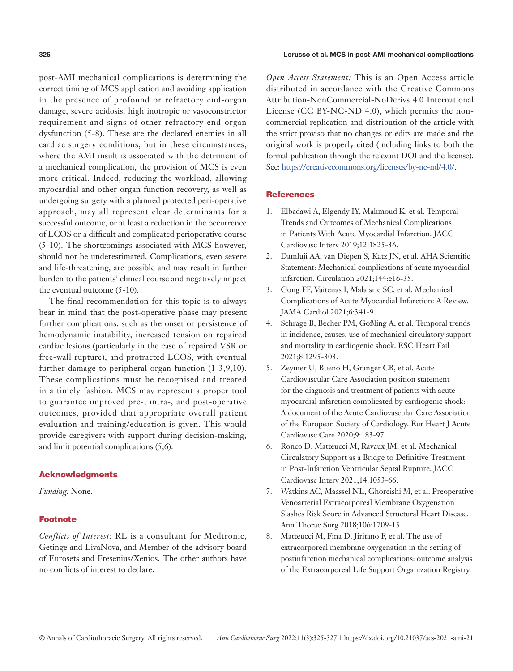post-AMI mechanical complications is determining the correct timing of MCS application and avoiding application in the presence of profound or refractory end-organ damage, severe acidosis, high inotropic or vasoconstrictor requirement and signs of other refractory end-organ dysfunction (5-8). These are the declared enemies in all cardiac surgery conditions, but in these circumstances, where the AMI insult is associated with the detriment of a mechanical complication, the provision of MCS is even more critical. Indeed, reducing the workload, allowing myocardial and other organ function recovery, as well as undergoing surgery with a planned protected peri-operative approach, may all represent clear determinants for a successful outcome, or at least a reduction in the occurrence of LCOS or a difficult and complicated perioperative course (5-10). The shortcomings associated with MCS however, should not be underestimated. Complications, even severe and life-threatening, are possible and may result in further burden to the patients' clinical course and negatively impact the eventual outcome (5-10).

The final recommendation for this topic is to always bear in mind that the post-operative phase may present further complications, such as the onset or persistence of hemodynamic instability, increased tension on repaired cardiac lesions (particularly in the case of repaired VSR or free-wall rupture), and protracted LCOS, with eventual further damage to peripheral organ function (1-3,9,10). These complications must be recognised and treated in a timely fashion. MCS may represent a proper tool to guarantee improved pre-, intra-, and post-operative outcomes, provided that appropriate overall patient evaluation and training/education is given. This would provide caregivers with support during decision-making, and limit potential complications (5,6).

### Acknowledgments

*Funding:* None.

### **Footnote**

*Conflicts of Interest:* RL is a consultant for Medtronic, Getinge and LivaNova, and Member of the advisory board of Eurosets and Fresenius/Xenios. The other authors have no conflicts of interest to declare.

*Open Access Statement:* This is an Open Access article distributed in accordance with the Creative Commons Attribution-NonCommercial-NoDerivs 4.0 International License (CC BY-NC-ND 4.0), which permits the noncommercial replication and distribution of the article with the strict proviso that no changes or edits are made and the original work is properly cited (including links to both the formal publication through the relevant DOI and the license). See: [https://creativecommons.org/licenses/by-nc-nd/4.0/.](https://creativecommons.org/licenses/by-nc-nd/4.0/)

### **References**

- 1. Elbadawi A, Elgendy IY, Mahmoud K, et al. Temporal Trends and Outcomes of Mechanical Complications in Patients With Acute Myocardial Infarction. JACC Cardiovasc Interv 2019;12:1825-36.
- 2. Damluji AA, van Diepen S, Katz JN, et al. AHA Scientific Statement: Mechanical complications of acute myocardial infarction. Circulation 2021;144:e16-35.
- 3. Gong FF, Vaitenas I, Malaisrie SC, et al. Mechanical Complications of Acute Myocardial Infarction: A Review. JAMA Cardiol 2021;6:341-9.
- 4. Schrage B, Becher PM, Goßling A, et al. Temporal trends in incidence, causes, use of mechanical circulatory support and mortality in cardiogenic shock. ESC Heart Fail 2021;8:1295-303.
- 5. Zeymer U, Bueno H, Granger CB, et al. Acute Cardiovascular Care Association position statement for the diagnosis and treatment of patients with acute myocardial infarction complicated by cardiogenic shock: A document of the Acute Cardiovascular Care Association of the European Society of Cardiology. Eur Heart J Acute Cardiovasc Care 2020;9:183-97.
- 6. Ronco D, Matteucci M, Ravaux JM, et al. Mechanical Circulatory Support as a Bridge to Definitive Treatment in Post-Infarction Ventricular Septal Rupture. JACC Cardiovasc Interv 2021;14:1053-66.
- 7. Watkins AC, Maassel NL, Ghoreishi M, et al. Preoperative Venoarterial Extracorporeal Membrane Oxygenation Slashes Risk Score in Advanced Structural Heart Disease. Ann Thorac Surg 2018;106:1709-15.
- 8. Matteucci M, Fina D, Jiritano F, et al. The use of extracorporeal membrane oxygenation in the setting of postinfarction mechanical complications: outcome analysis of the Extracorporeal Life Support Organization Registry.